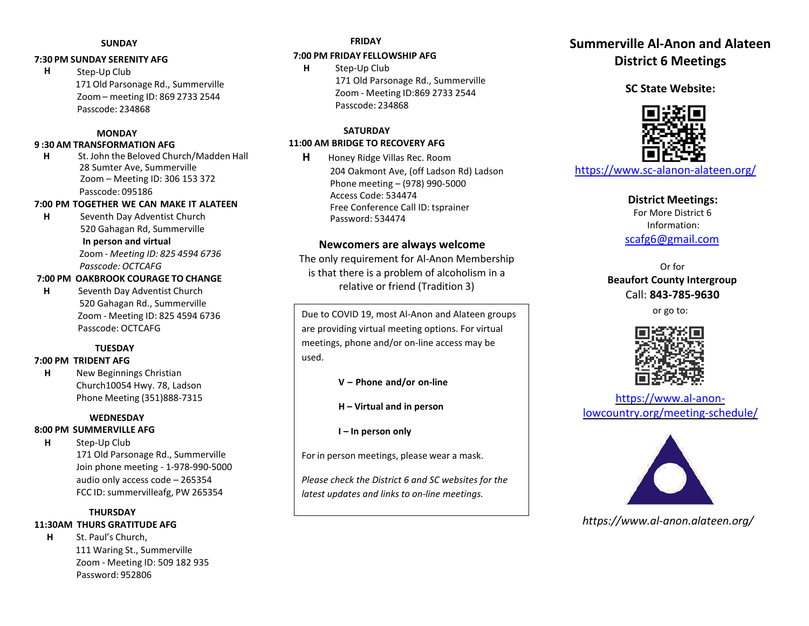#### **SUNDAY**

#### **7:30 PM SUNDAY SERENITY AFG**

**H** Step-Up Club 171 Old Parsonage Rd., Summerville Zoom – meeting ID: 869 2733 2544 Passcode: 234868

#### **MONDAY**

#### **9 :30 AM TRANSFORMATION AFG**

**H** St. John the Beloved Church/Madden Hall 28 Sumter Ave, Summerville Zoom – Meeting ID: 306 153 372 Passcode: 095186

## **7:00 PM TOGETHER WE CAN MAKE IT ALATEEN**

**H** Seventh Day Adventist Church 520 Gahagan Rd, Summerville **In person and virtual** Zoom - *Meeting ID: 825 4594 6736 Passcode: OCTCAFG*

## **7:00 PM OAKBROOK COURAGE TO CHANGE**

**H** Seventh Day Adventist Church 520 Gahagan Rd., Summerville Zoom - Meeting ID: 825 4594 6736 Passcode: OCTCAFG

# **TUESDAY**

#### **7:00 PM TRIDENT AFG**

**H** New Beginnings Christian Church10054 Hwy. 78, Ladson Phone Meeting (351)888-7315

## **WEDNESDAY 8:00 PM SUMMERVILLE AFG**

**H** Step-Up Club 171 Old Parsonage Rd., Summerville Join phone meeting - 1-978-990-5000 audio only access code – 265354 FCC ID: summervilleafg, PW 265354

## **THURSDAY**

# **11:30AM THURS GRATITUDE AFG**

**H** St. Paul's Church, 111 Waring St., Summerville Zoom - Meeting ID: 509 182 935 Password: 952806

### **FRIDAY**

#### **7:00 PM FRIDAY FELLOWSHIP AFG**

**H** Step-Up Club 171 Old Parsonage Rd., Summerville Zoom - Meeting ID:869 2733 2544 Passcode: 234868

#### **SATURDAY 11:00 AM BRIDGE TO RECOVERY AFG**

**H** Honey Ridge Villas Rec. Room 204 Oakmont Ave, (off Ladson Rd) Ladson Phone meeting – (978) 990-5000 Access Code: 534474 Free Conference Call ID: tsprainer Password: 534474

# **Newcomers are always welcome**

The only requirement for Al-Anon Membership is that there is a problem of alcoholism in a relative or friend (Tradition 3)

Due to COVID 19, most Al-Anon and Alateen groups are providing virtual meeting options. For virtual meetings, phone and/or on-line access may be used.

- **V – Phone and/or on-line**
- **H – Virtual and in person**

**I – In person only**

For in person meetings, please wear a mask.

*Please check the District 6 and SC websites for the latest updates and links to on-line meetings.*

# **Summerville Al-Anon and Alateen District 6 Meetings**

**SC State Website:**



https://www.sc-alanon-alateen.org/

**District Meetings:** For More District 6 Information: scafg6@gmail.com

Or for **Beaufort County Intergroup** Call: **843-785-9630**

or go to:



https://www.al-anonlowcountry.org/meeting-schedule/



*https://www.al-anon.alateen.org/*